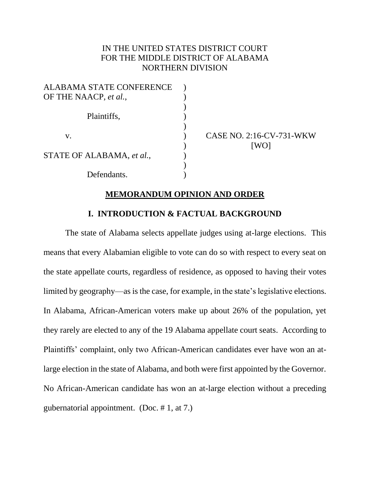# IN THE UNITED STATES DISTRICT COURT FOR THE MIDDLE DISTRICT OF ALABAMA NORTHERN DIVISION

| <b>ALABAMA STATE CONFERENCE</b> |  |
|---------------------------------|--|
| OF THE NAACP, et al.,           |  |
|                                 |  |
| Plaintiffs,                     |  |
|                                 |  |
| V.                              |  |
|                                 |  |
| STATE OF ALABAMA, et al.,       |  |
|                                 |  |
| Defendants.                     |  |

CASE NO. 2:16-CV-731-WKW [WO]

### **MEMORANDUM OPINION AND ORDER**

# **I. INTRODUCTION & FACTUAL BACKGROUND**

The state of Alabama selects appellate judges using at-large elections. This means that every Alabamian eligible to vote can do so with respect to every seat on the state appellate courts, regardless of residence, as opposed to having their votes limited by geography—as is the case, for example, in the state's legislative elections. In Alabama, African-American voters make up about 26% of the population, yet they rarely are elected to any of the 19 Alabama appellate court seats. According to Plaintiffs' complaint, only two African-American candidates ever have won an atlarge election in the state of Alabama, and both were first appointed by the Governor. No African-American candidate has won an at-large election without a preceding gubernatorial appointment. (Doc. # 1, at 7.)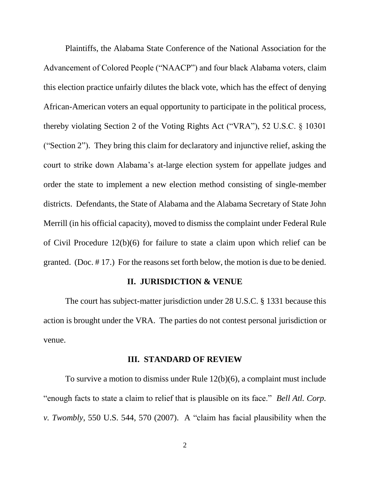Plaintiffs, the Alabama State Conference of the National Association for the Advancement of Colored People ("NAACP") and four black Alabama voters, claim this election practice unfairly dilutes the black vote, which has the effect of denying African-American voters an equal opportunity to participate in the political process, thereby violating Section 2 of the Voting Rights Act ("VRA"), 52 U.S.C. § 10301 ("Section 2"). They bring this claim for declaratory and injunctive relief, asking the court to strike down Alabama's at-large election system for appellate judges and order the state to implement a new election method consisting of single-member districts. Defendants, the State of Alabama and the Alabama Secretary of State John Merrill (in his official capacity), moved to dismiss the complaint under Federal Rule of Civil Procedure 12(b)(6) for failure to state a claim upon which relief can be granted. (Doc. # 17.) For the reasons set forth below, the motion is due to be denied.

#### **II. JURISDICTION & VENUE**

The court has subject-matter jurisdiction under 28 U.S.C. § 1331 because this action is brought under the VRA. The parties do not contest personal jurisdiction or venue.

#### **III. STANDARD OF REVIEW**

To survive a motion to dismiss under Rule 12(b)(6), a complaint must include "enough facts to state a claim to relief that is plausible on its face." *Bell Atl. Corp. v. Twombly*, 550 U.S. 544, 570 (2007). A "claim has facial plausibility when the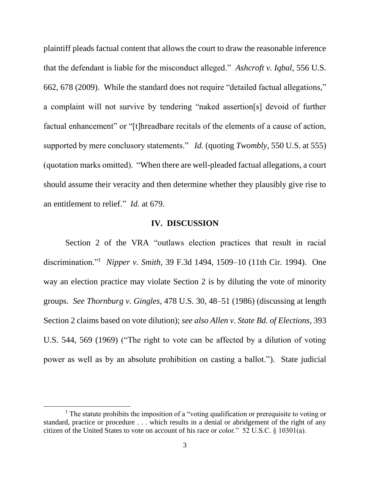plaintiff pleads factual content that allows the court to draw the reasonable inference that the defendant is liable for the misconduct alleged." *Ashcroft v. Iqbal*, 556 U.S. 662, 678 (2009). While the standard does not require "detailed factual allegations," a complaint will not survive by tendering "naked assertion[s] devoid of further factual enhancement" or "[t]hreadbare recitals of the elements of a cause of action, supported by mere conclusory statements." *Id.* (quoting *Twombly*, 550 U.S. at 555) (quotation marks omitted). "When there are well-pleaded factual allegations, a court should assume their veracity and then determine whether they plausibly give rise to an entitlement to relief." *Id.* at 679.

#### **IV. DISCUSSION**

Section 2 of the VRA "outlaws election practices that result in racial discrimination."<sup>1</sup> *Nipper v. Smith*, 39 F.3d 1494, 1509–10 (11th Cir. 1994). One way an election practice may violate Section 2 is by diluting the vote of minority groups. *See Thornburg v. Gingles*, 478 U.S. 30, 48–51 (1986) (discussing at length Section 2 claims based on vote dilution); *see also Allen v. State Bd. of Elections*, 393 U.S. 544, 569 (1969) ("The right to vote can be affected by a dilution of voting power as well as by an absolute prohibition on casting a ballot."). State judicial

 $\overline{a}$ 

<sup>&</sup>lt;sup>1</sup> The statute prohibits the imposition of a "voting qualification or prerequisite to voting or standard, practice or procedure . . . which results in a denial or abridgement of the right of any citizen of the United States to vote on account of his race or color." 52 U.S.C. § 10301(a).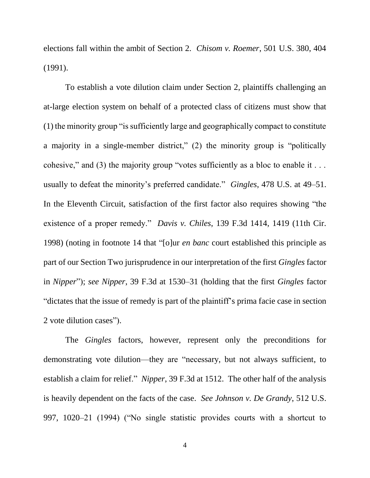elections fall within the ambit of Section 2. *Chisom v. Roemer*, 501 U.S. 380, 404 (1991).

To establish a vote dilution claim under Section 2, plaintiffs challenging an at-large election system on behalf of a protected class of citizens must show that (1) the minority group "is sufficiently large and geographically compact to constitute a majority in a single-member district," (2) the minority group is "politically cohesive," and (3) the majority group "votes sufficiently as a bloc to enable it . . . usually to defeat the minority's preferred candidate." *Gingles*, 478 U.S. at 49–51. In the Eleventh Circuit, satisfaction of the first factor also requires showing "the existence of a proper remedy." *Davis v. Chiles*, 139 F.3d 1414, 1419 (11th Cir. 1998) (noting in footnote 14 that "[o]ur *en banc* court established this principle as part of our Section Two jurisprudence in our interpretation of the first *Gingles* factor in *Nipper*"); *see Nipper*, 39 F.3d at 1530–31 (holding that the first *Gingles* factor "dictates that the issue of remedy is part of the plaintiff's prima facie case in section 2 vote dilution cases").

The *Gingles* factors, however, represent only the preconditions for demonstrating vote dilution—they are "necessary, but not always sufficient, to establish a claim for relief." *Nipper*, 39 F.3d at 1512. The other half of the analysis is heavily dependent on the facts of the case. *See Johnson v. De Grandy*, 512 U.S. 997, 1020–21 (1994) ("No single statistic provides courts with a shortcut to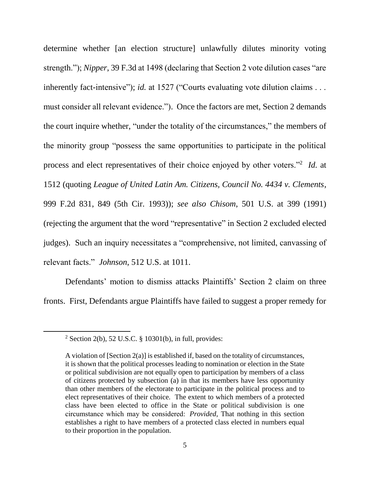determine whether [an election structure] unlawfully dilutes minority voting strength."); *Nipper*, 39 F.3d at 1498 (declaring that Section 2 vote dilution cases "are inherently fact-intensive"); *id.* at 1527 ("Courts evaluating vote dilution claims . . . must consider all relevant evidence."). Once the factors are met, Section 2 demands the court inquire whether, "under the totality of the circumstances," the members of the minority group "possess the same opportunities to participate in the political process and elect representatives of their choice enjoyed by other voters."<sup>2</sup> *Id.* at 1512 (quoting *League of United Latin Am. Citizens, Council No. 4434 v. Clements*, 999 F.2d 831, 849 (5th Cir. 1993)); *see also Chisom*, 501 U.S. at 399 (1991) (rejecting the argument that the word "representative" in Section 2 excluded elected judges). Such an inquiry necessitates a "comprehensive, not limited, canvassing of relevant facts." *Johnson*, 512 U.S. at 1011.

Defendants' motion to dismiss attacks Plaintiffs' Section 2 claim on three fronts. First, Defendants argue Plaintiffs have failed to suggest a proper remedy for

 $\overline{\phantom{a}}$ 

<sup>&</sup>lt;sup>2</sup> Section 2(b), 52 U.S.C. § 10301(b), in full, provides:

A violation of  $[Section 2(a)]$  is established if, based on the totality of circumstances, it is shown that the political processes leading to nomination or election in the State or political subdivision are not equally open to participation by members of a class of citizens protected by subsection (a) in that its members have less opportunity than other members of the electorate to participate in the political process and to elect representatives of their choice. The extent to which members of a protected class have been elected to office in the State or political subdivision is one circumstance which may be considered:  *Provided*, That nothing in this section establishes a right to have members of a protected class elected in numbers equal to their proportion in the population.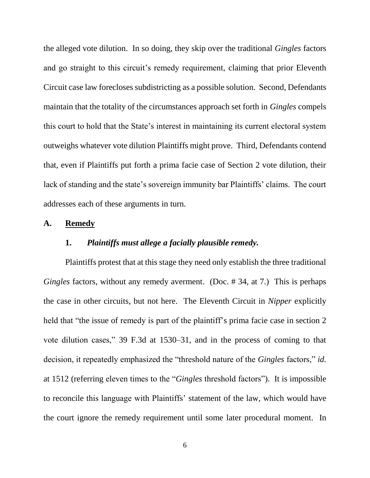the alleged vote dilution. In so doing, they skip over the traditional *Gingles* factors and go straight to this circuit's remedy requirement, claiming that prior Eleventh Circuit case law forecloses subdistricting as a possible solution. Second, Defendants maintain that the totality of the circumstances approach set forth in *Gingles* compels this court to hold that the State's interest in maintaining its current electoral system outweighs whatever vote dilution Plaintiffs might prove. Third, Defendants contend that, even if Plaintiffs put forth a prima facie case of Section 2 vote dilution, their lack of standing and the state's sovereign immunity bar Plaintiffs' claims. The court addresses each of these arguments in turn.

#### **A. Remedy**

### **1.** *Plaintiffs must allege a facially plausible remedy.*

Plaintiffs protest that at this stage they need only establish the three traditional *Gingles* factors, without any remedy averment. (Doc. # 34, at 7.) This is perhaps the case in other circuits, but not here. The Eleventh Circuit in *Nipper* explicitly held that "the issue of remedy is part of the plaintiff's prima facie case in section 2 vote dilution cases," 39 F.3d at 1530–31, and in the process of coming to that decision, it repeatedly emphasized the "threshold nature of the *Gingles* factors," *id.*  at 1512 (referring eleven times to the "*Gingles* threshold factors"). It is impossible to reconcile this language with Plaintiffs' statement of the law, which would have the court ignore the remedy requirement until some later procedural moment. In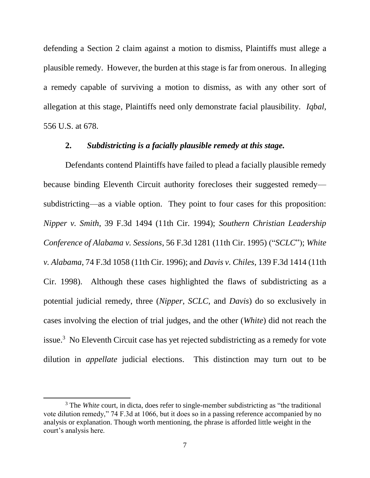defending a Section 2 claim against a motion to dismiss, Plaintiffs must allege a plausible remedy. However, the burden at this stage is far from onerous. In alleging a remedy capable of surviving a motion to dismiss, as with any other sort of allegation at this stage, Plaintiffs need only demonstrate facial plausibility. *Iqbal*, 556 U.S. at 678.

#### **2.** *Subdistricting is a facially plausible remedy at this stage.*

Defendants contend Plaintiffs have failed to plead a facially plausible remedy because binding Eleventh Circuit authority forecloses their suggested remedy subdistricting—as a viable option. They point to four cases for this proposition: *Nipper v. Smith*, 39 F.3d 1494 (11th Cir. 1994); *Southern Christian Leadership Conference of Alabama v. Sessions*, 56 F.3d 1281 (11th Cir. 1995) ("*SCLC*"); *White v. Alabama*, 74 F.3d 1058 (11th Cir. 1996); and *Davis v. Chiles*, 139 F.3d 1414 (11th Cir. 1998). Although these cases highlighted the flaws of subdistricting as a potential judicial remedy, three (*Nipper*, *SCLC*, and *Davis*) do so exclusively in cases involving the election of trial judges, and the other (*White*) did not reach the issue.<sup>3</sup> No Eleventh Circuit case has yet rejected subdistricting as a remedy for vote dilution in *appellate* judicial elections. This distinction may turn out to be

l

<sup>&</sup>lt;sup>3</sup> The *White* court, in dicta, does refer to single-member subdistricting as "the traditional" vote dilution remedy," 74 F.3d at 1066, but it does so in a passing reference accompanied by no analysis or explanation. Though worth mentioning, the phrase is afforded little weight in the court's analysis here.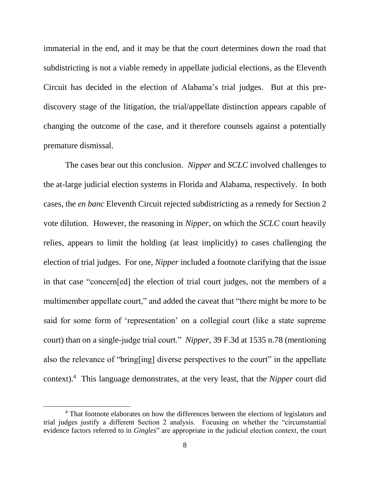immaterial in the end, and it may be that the court determines down the road that subdistricting is not a viable remedy in appellate judicial elections, as the Eleventh Circuit has decided in the election of Alabama's trial judges. But at this prediscovery stage of the litigation, the trial/appellate distinction appears capable of changing the outcome of the case, and it therefore counsels against a potentially premature dismissal.

The cases bear out this conclusion. *Nipper* and *SCLC* involved challenges to the at-large judicial election systems in Florida and Alabama, respectively. In both cases, the *en banc* Eleventh Circuit rejected subdistricting as a remedy for Section 2 vote dilution. However, the reasoning in *Nipper*, on which the *SCLC* court heavily relies, appears to limit the holding (at least implicitly) to cases challenging the election of trial judges. For one, *Nipper* included a footnote clarifying that the issue in that case "concern[ed] the election of trial court judges, not the members of a multimember appellate court," and added the caveat that "there might be more to be said for some form of 'representation' on a collegial court (like a state supreme court) than on a single-judge trial court." *Nipper*, 39 F.3d at 1535 n.78 (mentioning also the relevance of "bring[ing] diverse perspectives to the court" in the appellate context).<sup>4</sup> This language demonstrates, at the very least, that the *Nipper* court did

 $\overline{a}$ 

<sup>&</sup>lt;sup>4</sup> That footnote elaborates on how the differences between the elections of legislators and trial judges justify a different Section 2 analysis. Focusing on whether the "circumstantial evidence factors referred to in *Gingles*" are appropriate in the judicial election context, the court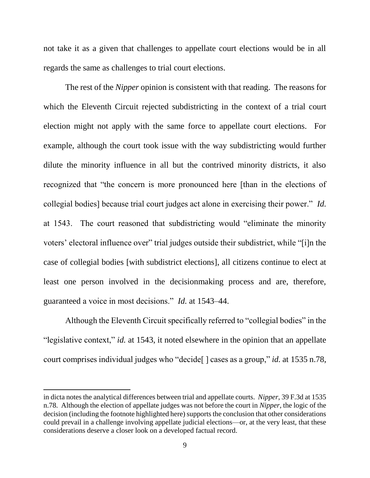not take it as a given that challenges to appellate court elections would be in all regards the same as challenges to trial court elections.

The rest of the *Nipper* opinion is consistent with that reading. The reasons for which the Eleventh Circuit rejected subdistricting in the context of a trial court election might not apply with the same force to appellate court elections. For example, although the court took issue with the way subdistricting would further dilute the minority influence in all but the contrived minority districts, it also recognized that "the concern is more pronounced here [than in the elections of collegial bodies] because trial court judges act alone in exercising their power." *Id.* at 1543. The court reasoned that subdistricting would "eliminate the minority voters' electoral influence over" trial judges outside their subdistrict, while "[i]n the case of collegial bodies [with subdistrict elections], all citizens continue to elect at least one person involved in the decisionmaking process and are, therefore, guaranteed a voice in most decisions." *Id.* at 1543–44.

Although the Eleventh Circuit specifically referred to "collegial bodies" in the "legislative context," *id.* at 1543, it noted elsewhere in the opinion that an appellate court comprises individual judges who "decide[ ] cases as a group," *id.* at 1535 n.78,

 $\overline{\phantom{a}}$ 

in dicta notes the analytical differences between trial and appellate courts. *Nipper*, 39 F.3d at 1535 n.78. Although the election of appellate judges was not before the court in *Nipper*, the logic of the decision (including the footnote highlighted here) supports the conclusion that other considerations could prevail in a challenge involving appellate judicial elections—or, at the very least, that these considerations deserve a closer look on a developed factual record.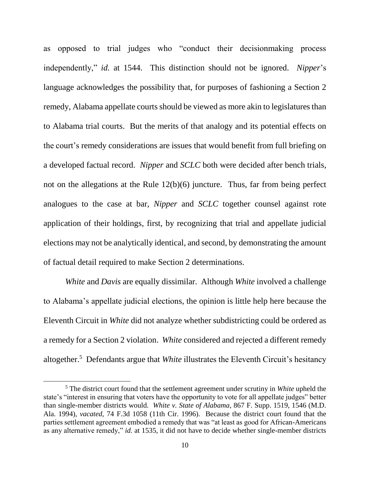as opposed to trial judges who "conduct their decisionmaking process independently," *id.* at 1544. This distinction should not be ignored. *Nipper*'s language acknowledges the possibility that, for purposes of fashioning a Section 2 remedy, Alabama appellate courts should be viewed as more akin to legislatures than to Alabama trial courts. But the merits of that analogy and its potential effects on the court's remedy considerations are issues that would benefit from full briefing on a developed factual record. *Nipper* and *SCLC* both were decided after bench trials, not on the allegations at the Rule 12(b)(6) juncture. Thus, far from being perfect analogues to the case at bar, *Nipper* and *SCLC* together counsel against rote application of their holdings, first, by recognizing that trial and appellate judicial elections may not be analytically identical, and second, by demonstrating the amount of factual detail required to make Section 2 determinations.

*White* and *Davis* are equally dissimilar. Although *White* involved a challenge to Alabama's appellate judicial elections, the opinion is little help here because the Eleventh Circuit in *White* did not analyze whether subdistricting could be ordered as a remedy for a Section 2 violation. *White* considered and rejected a different remedy altogether. 5 Defendants argue that *White* illustrates the Eleventh Circuit's hesitancy

 $\overline{\phantom{a}}$ 

<sup>5</sup> The district court found that the settlement agreement under scrutiny in *White* upheld the state's "interest in ensuring that voters have the opportunity to vote for all appellate judges" better than single-member districts would. *White v. State of Alabama*, 867 F. Supp. 1519, 1546 (M.D. Ala. 1994), *vacated*, 74 F.3d 1058 (11th Cir. 1996). Because the district court found that the parties settlement agreement embodied a remedy that was "at least as good for African-Americans as any alternative remedy," *id.* at 1535, it did not have to decide whether single-member districts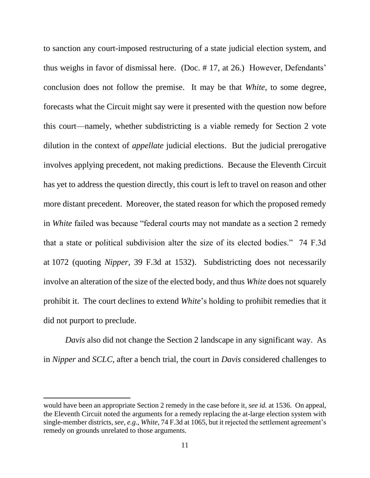to sanction any court-imposed restructuring of a state judicial election system, and thus weighs in favor of dismissal here. (Doc. # 17, at 26.) However, Defendants' conclusion does not follow the premise. It may be that *White*, to some degree, forecasts what the Circuit might say were it presented with the question now before this court—namely, whether subdistricting is a viable remedy for Section 2 vote dilution in the context of *appellate* judicial elections. But the judicial prerogative involves applying precedent, not making predictions. Because the Eleventh Circuit has yet to address the question directly, this court is left to travel on reason and other more distant precedent. Moreover, the stated reason for which the proposed remedy in *White* failed was because "federal courts may not mandate as a section 2 remedy that a state or political subdivision alter the size of its elected bodies." 74 F.3d at 1072 (quoting *Nipper*, 39 F.3d at 1532). Subdistricting does not necessarily involve an alteration of the size of the elected body, and thus *White* does not squarely prohibit it. The court declines to extend *White*'s holding to prohibit remedies that it did not purport to preclude.

*Davis* also did not change the Section 2 landscape in any significant way. As in *Nipper* and *SCLC*, after a bench trial, the court in *Davis* considered challenges to

l

would have been an appropriate Section 2 remedy in the case before it, *see id.* at 1536. On appeal, the Eleventh Circuit noted the arguments for a remedy replacing the at-large election system with single-member districts, *see*, *e.g.*, *White*, 74 F.3d at 1065, but it rejected the settlement agreement's remedy on grounds unrelated to those arguments.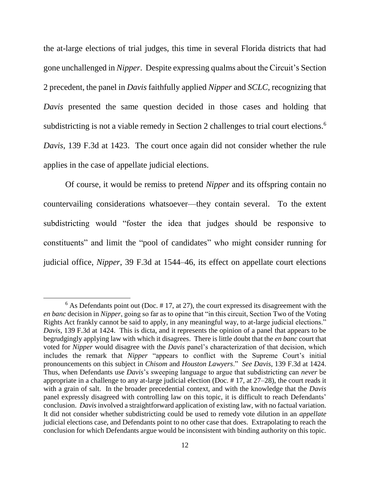the at-large elections of trial judges, this time in several Florida districts that had gone unchallenged in *Nipper*. Despite expressing qualms about the Circuit's Section 2 precedent, the panel in *Davis* faithfully applied *Nipper* and *SCLC*, recognizing that *Davis* presented the same question decided in those cases and holding that subdistricting is not a viable remedy in Section 2 challenges to trial court elections.<sup>6</sup> *Davis*, 139 F.3d at 1423. The court once again did not consider whether the rule applies in the case of appellate judicial elections.

Of course, it would be remiss to pretend *Nipper* and its offspring contain no countervailing considerations whatsoever—they contain several. To the extent subdistricting would "foster the idea that judges should be responsive to constituents" and limit the "pool of candidates" who might consider running for judicial office, *Nipper*, 39 F.3d at 1544–46, its effect on appellate court elections

 $\overline{\phantom{a}}$ 

 $6$  As Defendants point out (Doc. #17, at 27), the court expressed its disagreement with the *en banc* decision in *Nipper*, going so far as to opine that "in this circuit, Section Two of the Voting Rights Act frankly cannot be said to apply, in any meaningful way, to at-large judicial elections." *Davis*, 139 F.3d at 1424. This is dicta, and it represents the opinion of a panel that appears to be begrudgingly applying law with which it disagrees. There is little doubt that the *en banc* court that voted for *Nipper* would disagree with the *Davis* panel's characterization of that decision, which includes the remark that *Nipper* "appears to conflict with the Supreme Court's initial pronouncements on this subject in *Chisom* and *Houston Lawyers*." *See Davis*, 139 F.3d at 1424. Thus, when Defendants use *Davis*'s sweeping language to argue that subdistricting can *never* be appropriate in a challenge to any at-large judicial election (Doc. # 17, at 27–28), the court reads it with a grain of salt. In the broader precedential context, and with the knowledge that the *Davis*  panel expressly disagreed with controlling law on this topic, it is difficult to reach Defendants' conclusion. *Davis* involved a straightforward application of existing law, with no factual variation. It did not consider whether subdistricting could be used to remedy vote dilution in an *appellate* judicial elections case, and Defendants point to no other case that does. Extrapolating to reach the conclusion for which Defendants argue would be inconsistent with binding authority on this topic.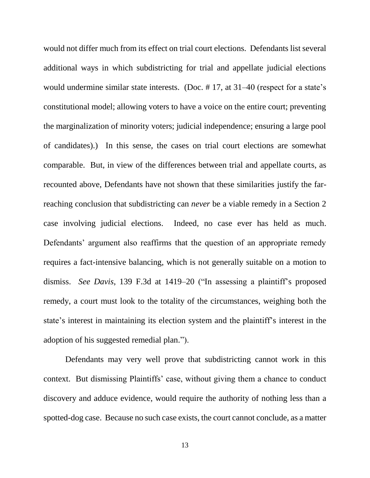would not differ much from its effect on trial court elections. Defendants list several additional ways in which subdistricting for trial and appellate judicial elections would undermine similar state interests. (Doc. # 17, at 31–40 (respect for a state's constitutional model; allowing voters to have a voice on the entire court; preventing the marginalization of minority voters; judicial independence; ensuring a large pool of candidates).) In this sense, the cases on trial court elections are somewhat comparable. But, in view of the differences between trial and appellate courts, as recounted above, Defendants have not shown that these similarities justify the farreaching conclusion that subdistricting can *never* be a viable remedy in a Section 2 case involving judicial elections. Indeed, no case ever has held as much. Defendants' argument also reaffirms that the question of an appropriate remedy requires a fact-intensive balancing, which is not generally suitable on a motion to dismiss. *See Davis*, 139 F.3d at 1419–20 ("In assessing a plaintiff's proposed remedy, a court must look to the totality of the circumstances, weighing both the state's interest in maintaining its election system and the plaintiff's interest in the adoption of his suggested remedial plan.").

Defendants may very well prove that subdistricting cannot work in this context. But dismissing Plaintiffs' case, without giving them a chance to conduct discovery and adduce evidence, would require the authority of nothing less than a spotted-dog case. Because no such case exists, the court cannot conclude, as a matter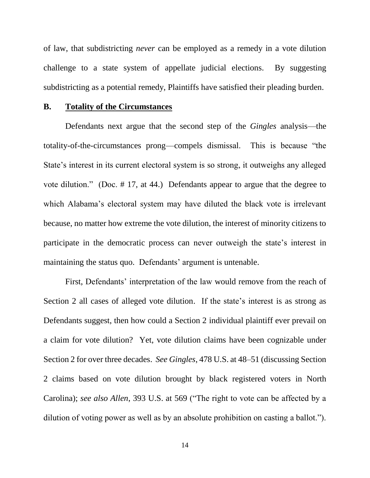of law, that subdistricting *never* can be employed as a remedy in a vote dilution challenge to a state system of appellate judicial elections. By suggesting subdistricting as a potential remedy, Plaintiffs have satisfied their pleading burden.

#### **B. Totality of the Circumstances**

Defendants next argue that the second step of the *Gingles* analysis—the totality-of-the-circumstances prong—compels dismissal. This is because "the State's interest in its current electoral system is so strong, it outweighs any alleged vote dilution." (Doc. # 17, at 44.) Defendants appear to argue that the degree to which Alabama's electoral system may have diluted the black vote is irrelevant because, no matter how extreme the vote dilution, the interest of minority citizens to participate in the democratic process can never outweigh the state's interest in maintaining the status quo. Defendants' argument is untenable.

First, Defendants' interpretation of the law would remove from the reach of Section 2 all cases of alleged vote dilution. If the state's interest is as strong as Defendants suggest, then how could a Section 2 individual plaintiff ever prevail on a claim for vote dilution? Yet, vote dilution claims have been cognizable under Section 2 for over three decades. *See Gingles*, 478 U.S. at 48–51 (discussing Section 2 claims based on vote dilution brought by black registered voters in North Carolina); *see also Allen*, 393 U.S. at 569 ("The right to vote can be affected by a dilution of voting power as well as by an absolute prohibition on casting a ballot.").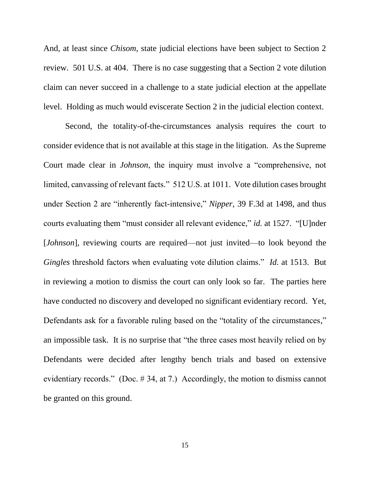And, at least since *Chisom*, state judicial elections have been subject to Section 2 review. 501 U.S. at 404. There is no case suggesting that a Section 2 vote dilution claim can never succeed in a challenge to a state judicial election at the appellate level. Holding as much would eviscerate Section 2 in the judicial election context.

Second, the totality-of-the-circumstances analysis requires the court to consider evidence that is not available at this stage in the litigation. As the Supreme Court made clear in *Johnson*, the inquiry must involve a "comprehensive, not limited, canvassing of relevant facts." 512 U.S. at 1011. Vote dilution cases brought under Section 2 are "inherently fact-intensive," *Nipper*, 39 F.3d at 1498, and thus courts evaluating them "must consider all relevant evidence," *id.* at 1527. "[U]nder [*Johnson*], reviewing courts are required—not just invited—to look beyond the *Gingles* threshold factors when evaluating vote dilution claims." *Id.* at 1513. But in reviewing a motion to dismiss the court can only look so far. The parties here have conducted no discovery and developed no significant evidentiary record. Yet, Defendants ask for a favorable ruling based on the "totality of the circumstances," an impossible task. It is no surprise that "the three cases most heavily relied on by Defendants were decided after lengthy bench trials and based on extensive evidentiary records." (Doc. # 34, at 7.) Accordingly, the motion to dismiss cannot be granted on this ground.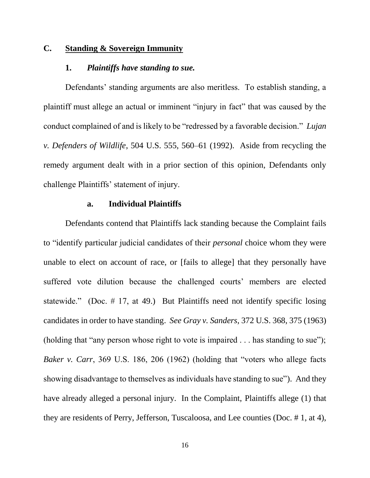# **C. Standing & Sovereign Immunity**

### **1.** *Plaintiffs have standing to sue.*

Defendants' standing arguments are also meritless. To establish standing, a plaintiff must allege an actual or imminent "injury in fact" that was caused by the conduct complained of and is likely to be "redressed by a favorable decision." *Lujan v. Defenders of Wildlife*, 504 U.S. 555, 560–61 (1992). Aside from recycling the remedy argument dealt with in a prior section of this opinion, Defendants only challenge Plaintiffs' statement of injury.

### **a. Individual Plaintiffs**

Defendants contend that Plaintiffs lack standing because the Complaint fails to "identify particular judicial candidates of their *personal* choice whom they were unable to elect on account of race, or [fails to allege] that they personally have suffered vote dilution because the challenged courts' members are elected statewide." (Doc. # 17, at 49.) But Plaintiffs need not identify specific losing candidates in order to have standing. *See Gray v. Sanders*, 372 U.S. 368, 375 (1963) (holding that "any person whose right to vote is impaired . . . has standing to sue"); *Baker v. Carr*, 369 U.S. 186, 206 (1962) (holding that "voters who allege facts showing disadvantage to themselves as individuals have standing to sue"). And they have already alleged a personal injury. In the Complaint, Plaintiffs allege (1) that they are residents of Perry, Jefferson, Tuscaloosa, and Lee counties (Doc. # 1, at 4),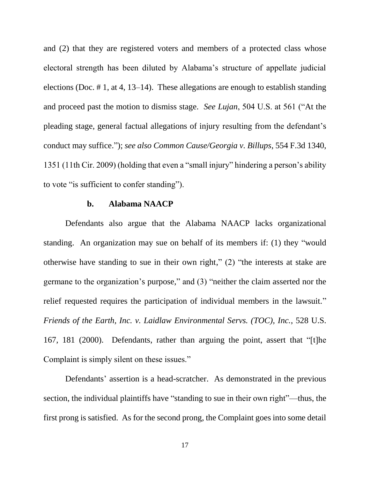and (2) that they are registered voters and members of a protected class whose electoral strength has been diluted by Alabama's structure of appellate judicial elections (Doc. # 1, at 4, 13–14). These allegations are enough to establish standing and proceed past the motion to dismiss stage. *See Lujan*, 504 U.S. at 561 ("At the pleading stage, general factual allegations of injury resulting from the defendant's conduct may suffice."); *see also Common Cause/Georgia v. Billups*, 554 F.3d 1340, 1351 (11th Cir. 2009) (holding that even a "small injury" hindering a person's ability to vote "is sufficient to confer standing").

#### **b. Alabama NAACP**

Defendants also argue that the Alabama NAACP lacks organizational standing. An organization may sue on behalf of its members if: (1) they "would otherwise have standing to sue in their own right," (2) "the interests at stake are germane to the organization's purpose," and (3) "neither the claim asserted nor the relief requested requires the participation of individual members in the lawsuit." *Friends of the Earth, Inc. v. Laidlaw Environmental Servs. (TOC), Inc.*, 528 U.S. 167, 181 (2000). Defendants, rather than arguing the point, assert that "[t]he Complaint is simply silent on these issues."

Defendants' assertion is a head-scratcher. As demonstrated in the previous section, the individual plaintiffs have "standing to sue in their own right"—thus, the first prong is satisfied. As for the second prong, the Complaint goes into some detail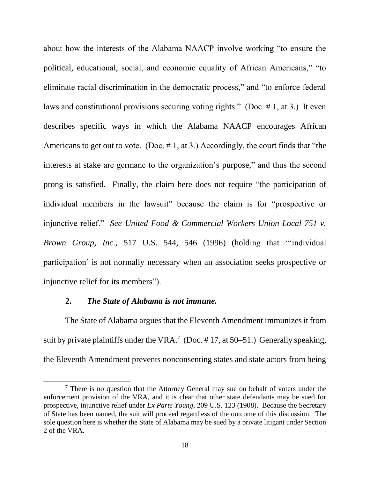about how the interests of the Alabama NAACP involve working "to ensure the political, educational, social, and economic equality of African Americans," "to eliminate racial discrimination in the democratic process," and "to enforce federal laws and constitutional provisions securing voting rights." (Doc. # 1, at 3.) It even describes specific ways in which the Alabama NAACP encourages African Americans to get out to vote. (Doc.  $\# 1$ , at 3.) Accordingly, the court finds that "the interests at stake are germane to the organization's purpose," and thus the second prong is satisfied. Finally, the claim here does not require "the participation of individual members in the lawsuit" because the claim is for "prospective or injunctive relief." *See United Food & Commercial Workers Union Local 751 v. Brown Group, Inc.*, 517 U.S. 544, 546 (1996) (holding that "'individual participation' is not normally necessary when an association seeks prospective or injunctive relief for its members").

### **2.** *The State of Alabama is not immune.*

 $\overline{\phantom{a}}$ 

The State of Alabama argues that the Eleventh Amendment immunizes it from suit by private plaintiffs under the VRA.<sup>7</sup> (Doc. #17, at 50–51.) Generally speaking, the Eleventh Amendment prevents nonconsenting states and state actors from being

 $<sup>7</sup>$  There is no question that the Attorney General may sue on behalf of voters under the</sup> enforcement provision of the VRA, and it is clear that other state defendants may be sued for prospective, injunctive relief under *Ex Parte Young*, 209 U.S. 123 (1908). Because the Secretary of State has been named, the suit will proceed regardless of the outcome of this discussion. The sole question here is whether the State of Alabama may be sued by a private litigant under Section 2 of the VRA.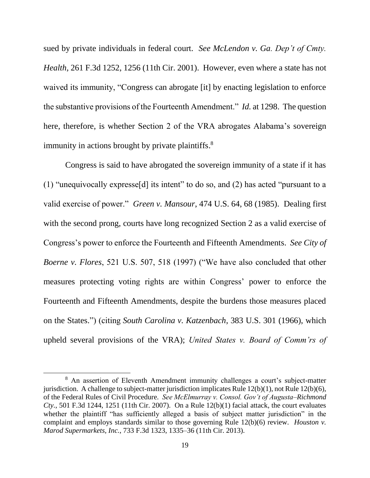sued by private individuals in federal court. *See McLendon v. Ga. Dep't of Cmty. Health*, 261 F.3d 1252, 1256 (11th Cir. 2001). However, even where a state has not waived its immunity, "Congress can abrogate [it] by enacting legislation to enforce the substantive provisions of the Fourteenth Amendment." *Id.* at 1298. The question here, therefore, is whether Section 2 of the VRA abrogates Alabama's sovereign immunity in actions brought by private plaintiffs.<sup>8</sup>

Congress is said to have abrogated the sovereign immunity of a state if it has (1) "unequivocally expresse[d] its intent" to do so, and (2) has acted "pursuant to a valid exercise of power." *Green v. Mansour*, 474 U.S. 64, 68 (1985). Dealing first with the second prong, courts have long recognized Section 2 as a valid exercise of Congress's power to enforce the Fourteenth and Fifteenth Amendments. *See City of Boerne v. Flores*, 521 U.S. 507, 518 (1997) ("We have also concluded that other measures protecting voting rights are within Congress' power to enforce the Fourteenth and Fifteenth Amendments, despite the burdens those measures placed on the States.") (citing *South Carolina v. Katzenbach*, 383 U.S. 301 (1966), which upheld several provisions of the VRA); *United States v. Board of Comm'rs of* 

 $\overline{a}$ 

<sup>8</sup> An assertion of Eleventh Amendment immunity challenges a court's subject-matter jurisdiction. A challenge to subject-matter jurisdiction implicates Rule 12(b)(1), not Rule 12(b)(6), of the Federal Rules of Civil Procedure. *See McElmurray v. Consol. Gov't of Augusta–Richmond Cty.*, 501 F.3d 1244, 1251 (11th Cir. 2007). On a Rule 12(b)(1) facial attack, the court evaluates whether the plaintiff "has sufficiently alleged a basis of subject matter jurisdiction" in the complaint and employs standards similar to those governing Rule 12(b)(6) review. *Houston v. Marod Supermarkets, Inc.*, 733 F.3d 1323, 1335–36 (11th Cir. 2013).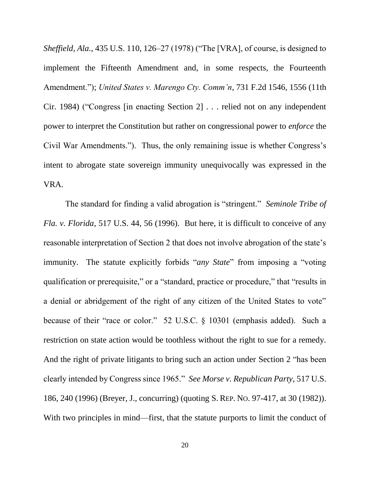*Sheffield, Ala.*, 435 U.S. 110, 126–27 (1978) ("The [VRA], of course, is designed to implement the Fifteenth Amendment and, in some respects, the Fourteenth Amendment."); *United States v. Marengo Cty. Comm'n*, 731 F.2d 1546, 1556 (11th Cir. 1984) ("Congress [in enacting Section 2] . . . relied not on any independent power to interpret the Constitution but rather on congressional power to *enforce* the Civil War Amendments."). Thus, the only remaining issue is whether Congress's intent to abrogate state sovereign immunity unequivocally was expressed in the VRA.

The standard for finding a valid abrogation is "stringent." *Seminole Tribe of Fla. v. Florida*, 517 U.S. 44, 56 (1996).But here, it is difficult to conceive of any reasonable interpretation of Section 2 that does not involve abrogation of the state's immunity. The statute explicitly forbids "*any State*" from imposing a "voting qualification or prerequisite," or a "standard, practice or procedure," that "results in a denial or abridgement of the right of any citizen of the United States to vote" because of their "race or color." 52 U.S.C. § 10301 (emphasis added). Such a restriction on state action would be toothless without the right to sue for a remedy. And the right of private litigants to bring such an action under Section 2 "has been clearly intended by Congress since 1965." *See Morse v. Republican Party*, 517 U.S. 186, 240 (1996) (Breyer, J., concurring) (quoting S. REP. NO. 97-417, at 30 (1982)). With two principles in mind—first, that the statute purports to limit the conduct of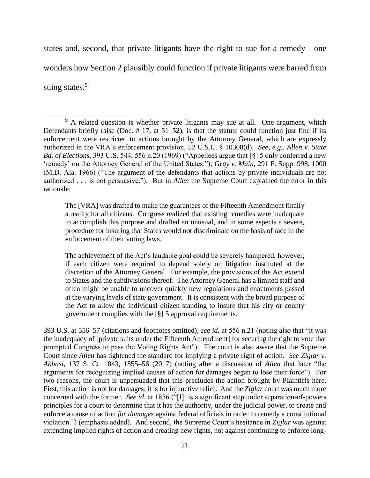states and, second, that private litigants have the right to sue for a remedy—one wonders how Section 2 plausibly could function if private litigants were barred from suing states.<sup>9</sup>

The [VRA] was drafted to make the guarantees of the Fifteenth Amendment finally a reality for all citizens. Congress realized that existing remedies were inadequate to accomplish this purpose and drafted an unusual, and in some aspects a severe, procedure for insuring that States would not discriminate on the basis of race in the enforcement of their voting laws.

The achievement of the Act's laudable goal could be severely hampered, however, if each citizen were required to depend solely on litigation instituted at the discretion of the Attorney General. For example, the provisions of the Act extend to States and the subdivisions thereof. The Attorney General has a limited staff and often might be unable to uncover quickly new regulations and enactments passed at the varying levels of state government. It is consistent with the broad purpose of the Act to allow the individual citizen standing to insure that his city or county government complies with the [§] 5 approval requirements.

393 U.S. at 556–57 (citations and footnotes omitted); *see id.* at 556 n.21 (noting also that "it was the inadequacy of [private suits under the Fifteenth Amendment] for securing the right to vote that prompted Congress to pass the Voting Rights Act"). The court is also aware that the Supreme Court since *Allen* has tightened the standard for implying a private right of action. *See Ziglar v. Abbasi*, 137 S. Ct. 1843, 1855–56 (2017) (noting after a discussion of *Allen* that later "the arguments for recognizing implied causes of action for damages began to lose their force"). For two reasons, the court is unpersuaded that this precludes the action brought by Plaintiffs here. First, this action is not for damages; it is for injunctive relief. And the *Ziglar* court was much more concerned with the former. *See id.* at 1856 ("[I]t is a significant step under separation-of-powers principles for a court to determine that it has the authority, under the judicial power, to create and enforce a cause of action *for damages* against federal officials in order to remedy a constitutional violation.") (emphasis added). And second, the Supreme Court's hesitance in *Ziglar* was against extending implied rights of action and creating new rights, not against continuing to enforce long-

 $\overline{a}$ <sup>9</sup> A related question is whether private litigants may sue at all. One argument, which Defendants briefly raise (Doc.  $# 17$ , at  $51–52$ ), is that the statute could function just fine if its enforcement were restricted to actions brought by the Attorney General, which are expressly authorized in the VRA's enforcement provision, 52 U.S.C. § 10308(d). *See, e.g., Allen v. State Bd. of Elections*, 393 U.S. 544, 556 n.20 (1969) ("Appellees argue that [§] 5 only conferred a new 'remedy' on the Attorney General of the United States."); *Gray v. Main*, 291 F. Supp. 998, 1000 (M.D. Ala. 1966) ("The argument of the defendants that actions by private individuals are not authorized . . . is not persuasive."). But in *Allen* the Supreme Court explained the error in this rationale: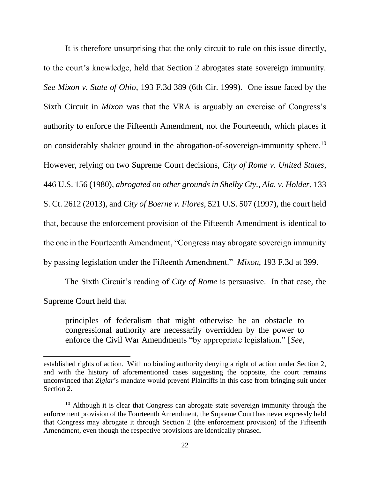It is therefore unsurprising that the only circuit to rule on this issue directly, to the court's knowledge, held that Section 2 abrogates state sovereign immunity. *See Mixon v. State of Ohio*, 193 F.3d 389 (6th Cir. 1999). One issue faced by the Sixth Circuit in *Mixon* was that the VRA is arguably an exercise of Congress's authority to enforce the Fifteenth Amendment, not the Fourteenth, which places it on considerably shakier ground in the abrogation-of-sovereign-immunity sphere. 10 However, relying on two Supreme Court decisions, *City of Rome v. United States*, 446 U.S. 156 (1980), *abrogated on other grounds in Shelby Cty., Ala. v. Holder*, 133 S. Ct. 2612 (2013), and *City of Boerne v. Flores*, 521 U.S. 507 (1997), the court held that, because the enforcement provision of the Fifteenth Amendment is identical to the one in the Fourteenth Amendment, "Congress may abrogate sovereign immunity by passing legislation under the Fifteenth Amendment." *Mixon*, 193 F.3d at 399.

The Sixth Circuit's reading of *City of Rome* is persuasive. In that case, the Supreme Court held that

principles of federalism that might otherwise be an obstacle to congressional authority are necessarily overridden by the power to enforce the Civil War Amendments "by appropriate legislation." [*See,* 

l

established rights of action. With no binding authority denying a right of action under Section 2, and with the history of aforementioned cases suggesting the opposite, the court remains unconvinced that *Ziglar*'s mandate would prevent Plaintiffs in this case from bringing suit under Section 2.

 $10$  Although it is clear that Congress can abrogate state sovereign immunity through the enforcement provision of the Fourteenth Amendment, the Supreme Court has never expressly held that Congress may abrogate it through Section 2 (the enforcement provision) of the Fifteenth Amendment, even though the respective provisions are identically phrased.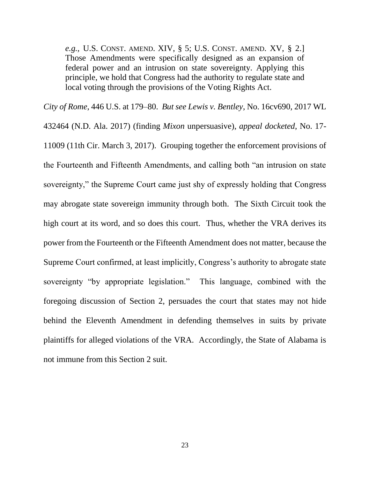*e.g.,* U.S. CONST. AMEND. XIV, § 5; U.S. CONST. AMEND. XV, § 2.] Those Amendments were specifically designed as an expansion of federal power and an intrusion on state sovereignty. Applying this principle, we hold that Congress had the authority to regulate state and local voting through the provisions of the Voting Rights Act.

*City of Rome*, 446 U.S. at 179–80. *But see Lewis v. Bentley*, No. 16cv690, 2017 WL 432464 (N.D. Ala. 2017) (finding *Mixon* unpersuasive), *appeal docketed*, No. 17- 11009 (11th Cir. March 3, 2017). Grouping together the enforcement provisions of the Fourteenth and Fifteenth Amendments, and calling both "an intrusion on state sovereignty," the Supreme Court came just shy of expressly holding that Congress may abrogate state sovereign immunity through both. The Sixth Circuit took the high court at its word, and so does this court. Thus, whether the VRA derives its power from the Fourteenth or the Fifteenth Amendment does not matter, because the Supreme Court confirmed, at least implicitly, Congress's authority to abrogate state sovereignty "by appropriate legislation." This language, combined with the foregoing discussion of Section 2, persuades the court that states may not hide behind the Eleventh Amendment in defending themselves in suits by private plaintiffs for alleged violations of the VRA. Accordingly, the State of Alabama is not immune from this Section 2 suit.